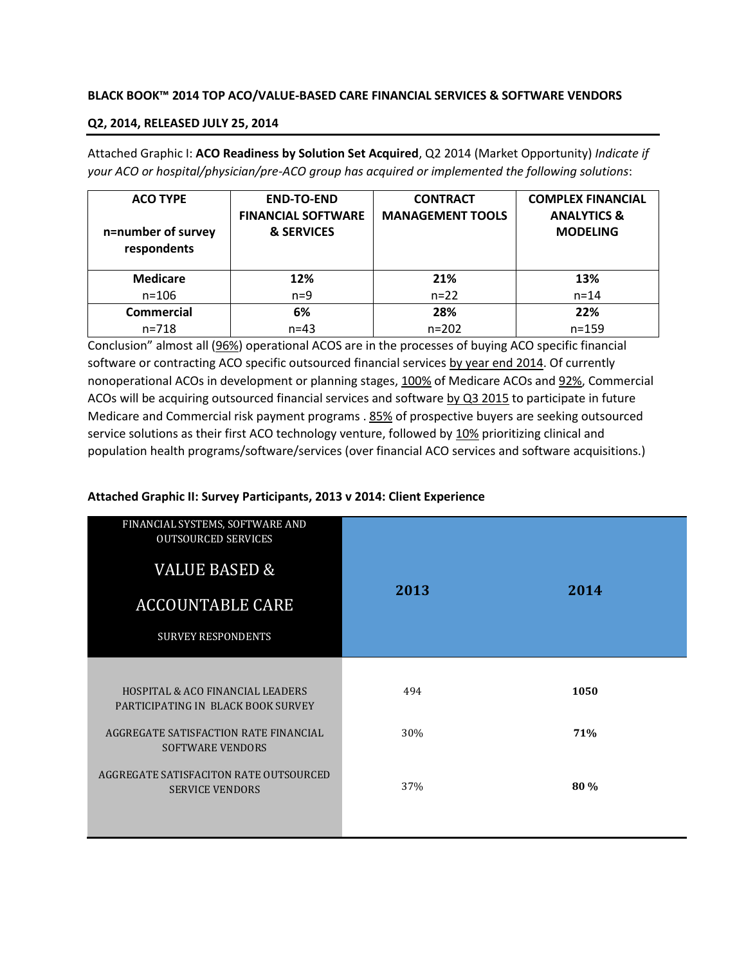### **BLACK BOOK™ 2014 TOP ACO/VALUE-BASED CARE FINANCIAL SERVICES & SOFTWARE VENDORS**

### **Q2, 2014, RELEASED JULY 25, 2014**

Attached Graphic I: **ACO Readiness by Solution Set Acquired**, Q2 2014 (Market Opportunity) *Indicate if your ACO or hospital/physician/pre-ACO group has acquired or implemented the following solutions*:

| <b>ACO TYPE</b><br>n=number of survey<br>respondents | <b>END-TO-END</b><br><b>FINANCIAL SOFTWARE</b><br>& SERVICES | <b>CONTRACT</b><br><b>MANAGEMENT TOOLS</b> | <b>COMPLEX FINANCIAL</b><br><b>ANALYTICS &amp;</b><br><b>MODELING</b> |
|------------------------------------------------------|--------------------------------------------------------------|--------------------------------------------|-----------------------------------------------------------------------|
| <b>Medicare</b>                                      | 12%                                                          | 21%                                        | 13%                                                                   |
| $n = 106$                                            | $n=9$                                                        | $n = 22$                                   | $n = 14$                                                              |
| Commercial                                           | 6%                                                           | 28%                                        | 22%                                                                   |
| $n = 718$                                            | $n = 43$                                                     | $n = 202$                                  | $n = 159$                                                             |

Conclusion" almost all (96%) operational ACOS are in the processes of buying ACO specific financial software or contracting ACO specific outsourced financial services by year end 2014. Of currently nonoperational ACOs in development or planning stages, 100% of Medicare ACOs and 92%, Commercial ACOs will be acquiring outsourced financial services and software by Q3 2015 to participate in future Medicare and Commercial risk payment programs . 85% of prospective buyers are seeking outsourced service solutions as their first ACO technology venture, followed by 10% prioritizing clinical and population health programs/software/services (over financial ACO services and software acquisitions.)

### **Attached Graphic II: Survey Participants, 2013 v 2014: Client Experience**

| FINANCIAL SYSTEMS, SOFTWARE AND<br><b>OUTSOURCED SERVICES</b><br><b>VALUE BASED &amp;</b><br><b>ACCOUNTABLE CARE</b><br><b>SURVEY RESPONDENTS</b> | 2013 | 2014 |
|---------------------------------------------------------------------------------------------------------------------------------------------------|------|------|
| <b>HOSPITAL &amp; ACO FINANCIAL LEADERS</b><br>PARTICIPATING IN BLACK BOOK SURVEY                                                                 | 494  | 1050 |
| AGGREGATE SATISFACTION RATE FINANCIAL<br><b>SOFTWARE VENDORS</b>                                                                                  | 30%  | 71%  |
| AGGREGATE SATISFACITON RATE OUTSOURCED<br><b>SERVICE VENDORS</b>                                                                                  | 37%  | 80 % |